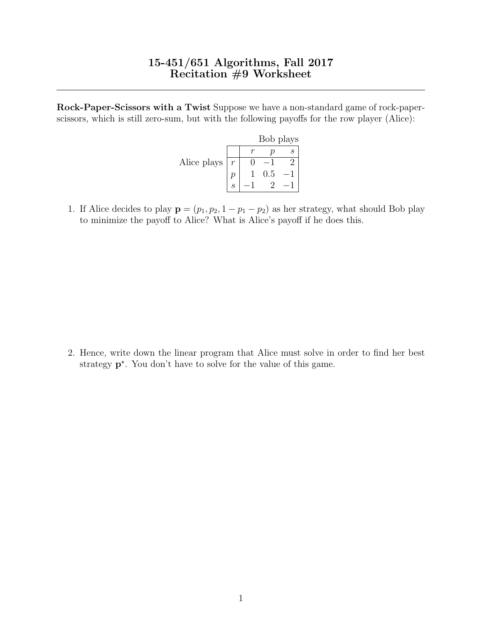## 15-451/651 Algorithms, Fall 2017 Recitation #9 Worksheet

Rock-Paper-Scissors with a Twist Suppose we have a non-standard game of rock-paperscissors, which is still zero-sum, but with the following payoffs for the row player (Alice):

|             |               | Bob plays |  |
|-------------|---------------|-----------|--|
|             |               |           |  |
| Alice plays | $\mathcal{r}$ |           |  |
|             |               | 0.5       |  |
|             |               |           |  |

1. If Alice decides to play  $\mathbf{p} = (p_1, p_2, 1 - p_1 - p_2)$  as her strategy, what should Bob play to minimize the payoff to Alice? What is Alice's payoff if he does this.

2. Hence, write down the linear program that Alice must solve in order to find her best strategy  $p^*$ . You don't have to solve for the value of this game.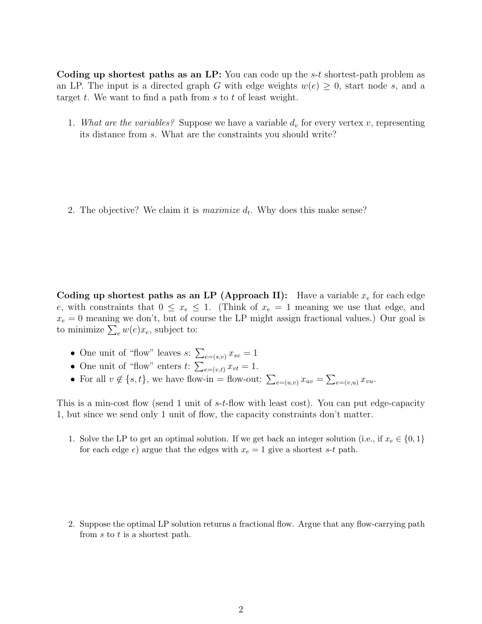Coding up shortest paths as an LP: You can code up the  $s-t$  shortest-path problem as an LP. The input is a directed graph G with edge weights  $w(e) \geq 0$ , start node s, and a target t. We want to find a path from  $s$  to  $t$  of least weight.

1. What are the variables? Suppose we have a variable  $d_v$  for every vertex v, representing its distance from s. What are the constraints you should write?

2. The objective? We claim it is *maximize*  $d_t$ . Why does this make sense?

Coding up shortest paths as an LP (Approach II): Have a variable  $x_e$  for each edge e, with constraints that  $0 \leq x_e \leq 1$ . (Think of  $x_e = 1$  meaning we use that edge, and  $x_e = 0$  meaning we don't, but of course the LP might assign fractional values.) Our goal is to minimize  $\sum_{e} w(e)x_e$ , subject to:

- One unit of "flow" leaves  $s: \sum_{e=(s,v)} x_{sv} = 1$
- One unit of "flow" enters  $t: \sum_{e=(v,t)} x_{vt} = 1.$
- For all  $v \notin \{s, t\}$ , we have flow-in = flow-out:  $\sum_{e=(u,v)} x_{uv} = \sum_{e=(v,u)} x_{vu}$ .

This is a min-cost flow (send 1 unit of s-t-flow with least cost). You can put edge-capacity 1, but since we send only 1 unit of flow, the capacity constraints don't matter.

1. Solve the LP to get an optimal solution. If we get back an integer solution (i.e., if  $x_e \in \{0, 1\}$ ) for each edge e) argue that the edges with  $x_e = 1$  give a shortest s-t path.

2. Suppose the optimal LP solution returns a fractional flow. Argue that any flow-carrying path from s to t is a shortest path.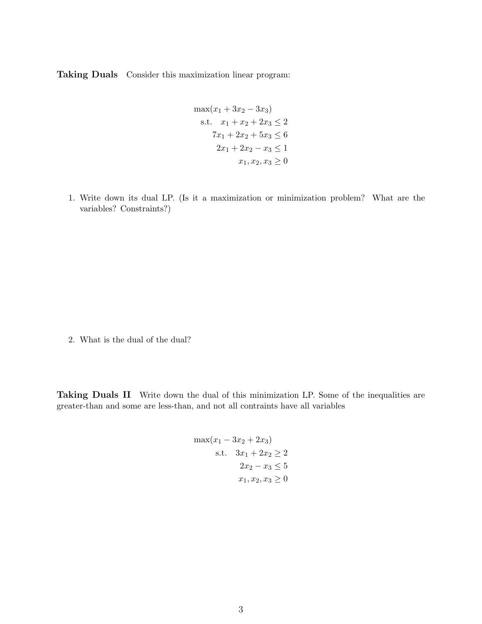Taking Duals Consider this maximization linear program:

$$
\max(x_1 + 3x_2 - 3x_3)
$$
  
s.t.  $x_1 + x_2 + 2x_3 \le 2$   
 $7x_1 + 2x_2 + 5x_3 \le 6$   
 $2x_1 + 2x_2 - x_3 \le 1$   
 $x_1, x_2, x_3 \ge 0$ 

1. Write down its dual LP. (Is it a maximization or minimization problem? What are the variables? Constraints?)

2. What is the dual of the dual?

Taking Duals II Write down the dual of this minimization LP. Some of the inequalities are greater-than and some are less-than, and not all contraints have all variables

$$
\max(x_1 - 3x_2 + 2x_3)
$$
  
s.t.  $3x_1 + 2x_2 \ge 2$   
 $2x_2 - x_3 \le 5$   
 $x_1, x_2, x_3 \ge 0$